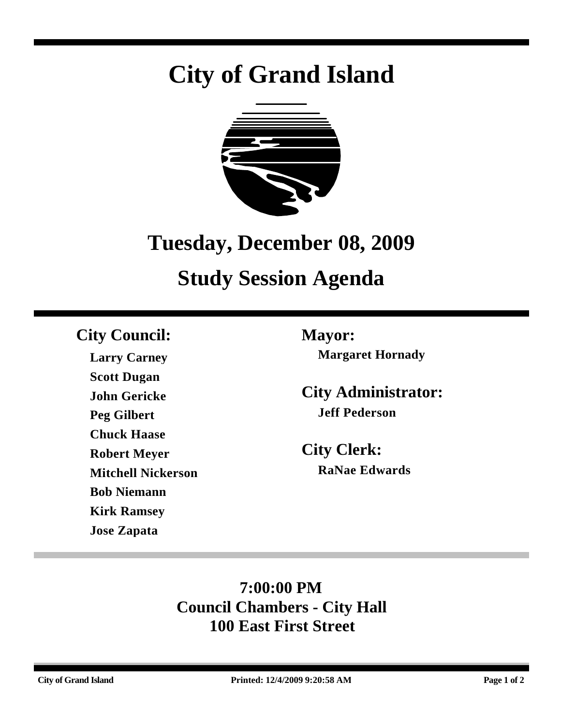# **City of Grand Island**



## **Tuesday, December 08, 2009**

## **Study Session Agenda**

## **City Council: Mayor:**

**Larry Carney Scott Dugan John Gericke Peg Gilbert Chuck Haase Robert Meyer Mitchell Nickerson Bob Niemann Kirk Ramsey Jose Zapata**

**Margaret Hornady**

**City Administrator: Jeff Pederson**

**City Clerk: RaNae Edwards**

## **7:00:00 PM Council Chambers - City Hall 100 East First Street**